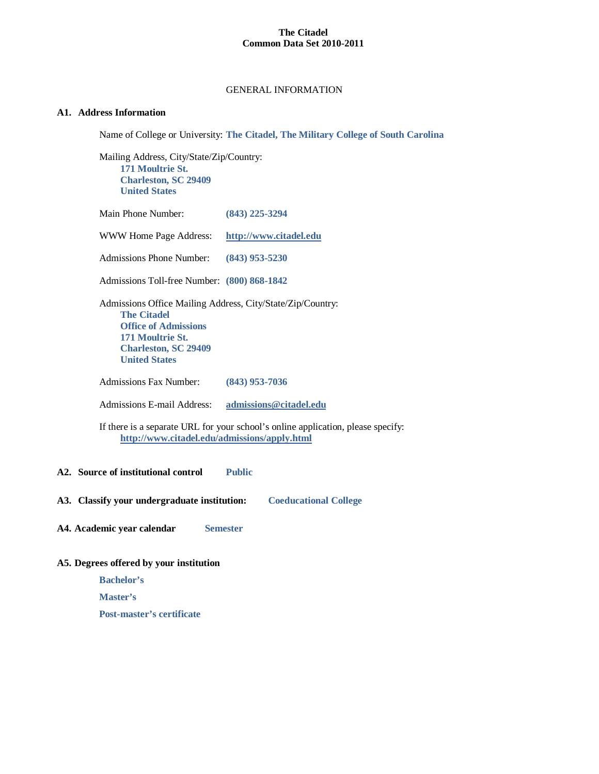### GENERAL INFORMATION

# **A1. Address Information**

Name of College or University: **The Citadel, The Military College of South Carolina**

Mailing Address, City/State/Zip/Country: **171 Moultrie St. Charleston, SC 29409 United States**

| Main Phone Number: | $(843)$ 225-3294 |
|--------------------|------------------|
|--------------------|------------------|

| <b>WWW Home Page Address:</b> | http://www.citadel.edu |
|-------------------------------|------------------------|
|-------------------------------|------------------------|

Admissions Phone Number: **(843) 953-5230**

Admissions Toll-free Number: **(800) 868-1842**

Admissions Office Mailing Address, City/State/Zip/Country: **The Citadel Office of Admissions 171 Moultrie St. Charleston, SC 29409 United States**

Admissions Fax Number: **(843) 953-7036**

Admissions E-mail Address: **[admissions@citadel.edu](mailto:admissions@citadel.edu)**

If there is a separate URL for your school's online application, please specify: **<http://www.citadel.edu/admissions/apply.html>**

### **A2. Source of institutional control Public**

**A3. Classify your undergraduate institution: Coeducational College**

**A4. Academic year calendar Semester**

# **A5. Degrees offered by your institution**

**Bachelor's**

**Master's**

**Post-master's certificate**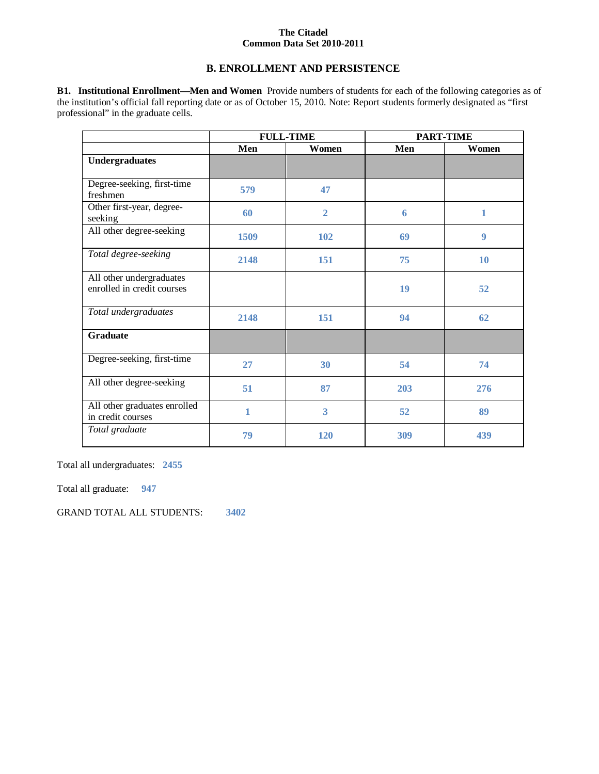# **B. ENROLLMENT AND PERSISTENCE**

**B1. Institutional Enrollment—Men and Women** Provide numbers of students for each of the following categories as of the institution's official fall reporting date or as of October 15, 2010. Note: Report students formerly designated as "first professional" in the graduate cells.

|                                                        |      | <b>FULL-TIME</b><br><b>PART-TIME</b> |     |       |
|--------------------------------------------------------|------|--------------------------------------|-----|-------|
|                                                        | Men  | Women                                | Men | Women |
| <b>Undergraduates</b>                                  |      |                                      |     |       |
| Degree-seeking, first-time<br>freshmen                 | 579  | 47                                   |     |       |
| Other first-year, degree-<br>seeking                   | 60   | $\overline{2}$                       | 6   | 1     |
| All other degree-seeking                               | 1509 | 102                                  | 69  | 9     |
| Total degree-seeking                                   | 2148 | 151                                  | 75  | 10    |
| All other undergraduates<br>enrolled in credit courses |      |                                      | 19  | 52    |
| Total undergraduates                                   | 2148 | 151                                  | 94  | 62    |
| <b>Graduate</b>                                        |      |                                      |     |       |
| Degree-seeking, first-time                             | 27   | 30                                   | 54  | 74    |
| All other degree-seeking                               | 51   | 87                                   | 203 | 276   |
| All other graduates enrolled<br>in credit courses      | 1    | $\overline{\mathbf{3}}$              | 52  | 89    |
| Total graduate                                         | 79   | 120                                  | 309 | 439   |

Total all undergraduates: **2455**

Total all graduate: **947**

GRAND TOTAL ALL STUDENTS: **3402**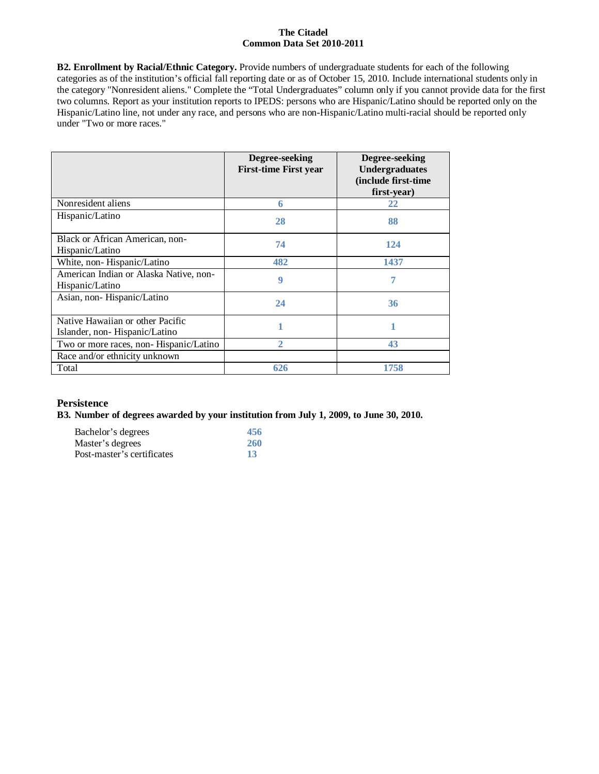**B2. Enrollment by Racial/Ethnic Category.** Provide numbers of undergraduate students for each of the following categories as of the institution's official fall reporting date or as of October 15, 2010. Include international students only in the category "Nonresident aliens." Complete the "Total Undergraduates" column only if you cannot provide data for the first two columns. Report as your institution reports to IPEDS: persons who are Hispanic/Latino should be reported only on the Hispanic/Latino line, not under any race, and persons who are non-Hispanic/Latino multi-racial should be reported only under "Two or more races."

|                                                                   | Degree-seeking<br><b>First-time First year</b> | Degree-seeking<br><b>Undergraduates</b><br>(include first-time<br>first-year) |
|-------------------------------------------------------------------|------------------------------------------------|-------------------------------------------------------------------------------|
| Nonresident aliens                                                | 6                                              | 22                                                                            |
| Hispanic/Latino                                                   | 28                                             | 88                                                                            |
| Black or African American, non-<br>Hispanic/Latino                | 74                                             | 124                                                                           |
| White, non-Hispanic/Latino                                        | 482                                            | 1437                                                                          |
| American Indian or Alaska Native, non-<br>Hispanic/Latino         | 9                                              | 7                                                                             |
| Asian, non-Hispanic/Latino                                        | 24                                             | 36                                                                            |
| Native Hawaiian or other Pacific<br>Islander, non-Hispanic/Latino |                                                |                                                                               |
| Two or more races, non-Hispanic/Latino                            | 2                                              | 43                                                                            |
| Race and/or ethnicity unknown                                     |                                                |                                                                               |
| Total                                                             | 626                                            | 1758                                                                          |

# **Persistence**

### **B3. Number of degrees awarded by your institution from July 1, 2009, to June 30, 2010.**

| Bachelor's degrees         | 456 |
|----------------------------|-----|
| Master's degrees           | 260 |
| Post-master's certificates | 13  |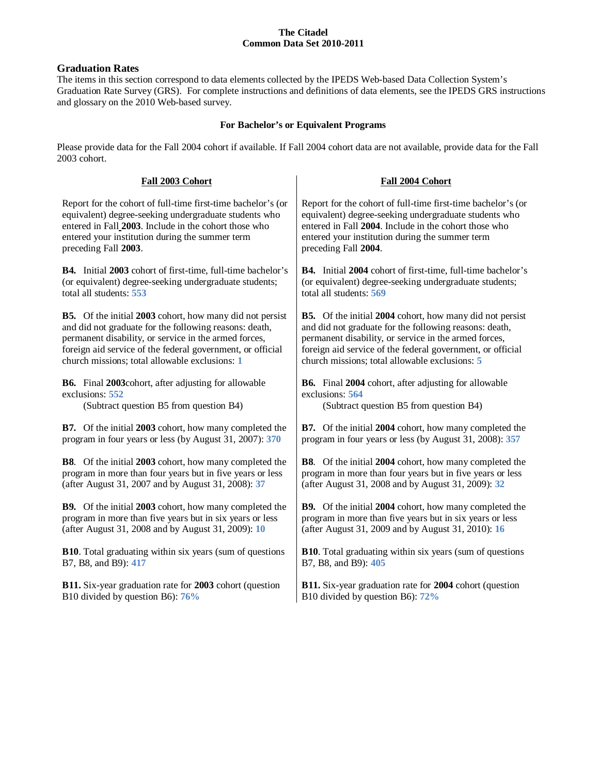# **Graduation Rates**

The items in this section correspond to data elements collected by the IPEDS Web-based Data Collection System's Graduation Rate Survey (GRS). For complete instructions and definitions of data elements, see the IPEDS GRS instructions and glossary on the 2010 Web-based survey.

# **For Bachelor's or Equivalent Programs**

Please provide data for the Fall 2004 cohort if available. If Fall 2004 cohort data are not available, provide data for the Fall 2003 cohort.

| Fall 2003 Cohort                                                   | Fall 2004 Cohort                                                   |
|--------------------------------------------------------------------|--------------------------------------------------------------------|
| Report for the cohort of full-time first-time bachelor's (or       | Report for the cohort of full-time first-time bachelor's (or       |
| equivalent) degree-seeking undergraduate students who              | equivalent) degree-seeking undergraduate students who              |
| entered in Fall 2003. Include in the cohort those who              | entered in Fall 2004. Include in the cohort those who              |
| entered your institution during the summer term                    | entered your institution during the summer term                    |
| preceding Fall 2003.                                               | preceding Fall 2004.                                               |
| <b>B4.</b> Initial 2003 cohort of first-time, full-time bachelor's | <b>B4.</b> Initial 2004 cohort of first-time, full-time bachelor's |
| (or equivalent) degree-seeking undergraduate students;             | (or equivalent) degree-seeking undergraduate students;             |
| total all students: 553                                            | total all students: 569                                            |
| <b>B5.</b> Of the initial 2003 cohort, how many did not persist    | <b>B5.</b> Of the initial 2004 cohort, how many did not persist    |
| and did not graduate for the following reasons: death,             | and did not graduate for the following reasons: death,             |
| permanent disability, or service in the armed forces,              | permanent disability, or service in the armed forces,              |
| foreign aid service of the federal government, or official         | foreign aid service of the federal government, or official         |
| church missions; total allowable exclusions: 1                     | church missions; total allowable exclusions: 5                     |
| <b>B6.</b> Final 2003 cohort, after adjusting for allowable        | <b>B6.</b> Final 2004 cohort, after adjusting for allowable        |
| exclusions: 552                                                    | exclusions: 564                                                    |
| (Subtract question B5 from question B4)                            | (Subtract question B5 from question B4)                            |
| <b>B7.</b> Of the initial 2003 cohort, how many completed the      | B7. Of the initial 2004 cohort, how many completed the             |
| program in four years or less (by August 31, 2007): 370            | program in four years or less (by August 31, 2008): 357            |
| <b>B8</b> . Of the initial 2003 cohort, how many completed the     | <b>B8</b> . Of the initial 2004 cohort, how many completed the     |
| program in more than four years but in five years or less          | program in more than four years but in five years or less          |
| (after August 31, 2007 and by August 31, 2008): 37                 | (after August 31, 2008 and by August 31, 2009): 32                 |
| <b>B9.</b> Of the initial 2003 cohort, how many completed the      | B9. Of the initial 2004 cohort, how many completed the             |
| program in more than five years but in six years or less           | program in more than five years but in six years or less           |
| (after August 31, 2008 and by August 31, 2009): 10                 | (after August 31, 2009 and by August 31, 2010): 16                 |
| <b>B10.</b> Total graduating within six years (sum of questions    | <b>B10.</b> Total graduating within six years (sum of questions    |
| B7, B8, and B9): 417                                               | B7, B8, and B9): 405                                               |
| <b>B11.</b> Six-year graduation rate for 2003 cohort (question     | <b>B11.</b> Six-year graduation rate for 2004 cohort (question     |
| B10 divided by question B6): 76%                                   | B10 divided by question B6): 72%                                   |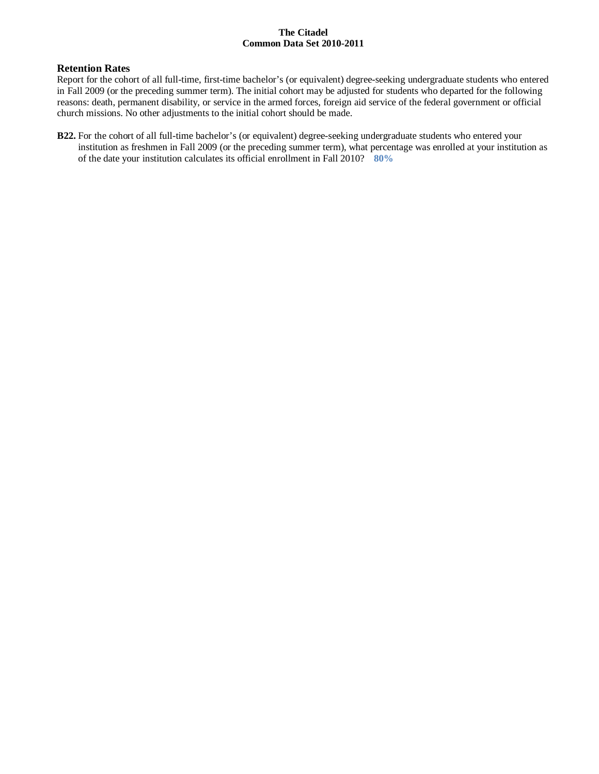### **Retention Rates**

Report for the cohort of all full-time, first-time bachelor's (or equivalent) degree-seeking undergraduate students who entered in Fall 2009 (or the preceding summer term). The initial cohort may be adjusted for students who departed for the following reasons: death, permanent disability, or service in the armed forces, foreign aid service of the federal government or official church missions. No other adjustments to the initial cohort should be made.

**B22.** For the cohort of all full-time bachelor's (or equivalent) degree-seeking undergraduate students who entered your institution as freshmen in Fall 2009 (or the preceding summer term), what percentage was enrolled at your institution as of the date your institution calculates its official enrollment in Fall 2010? **80%**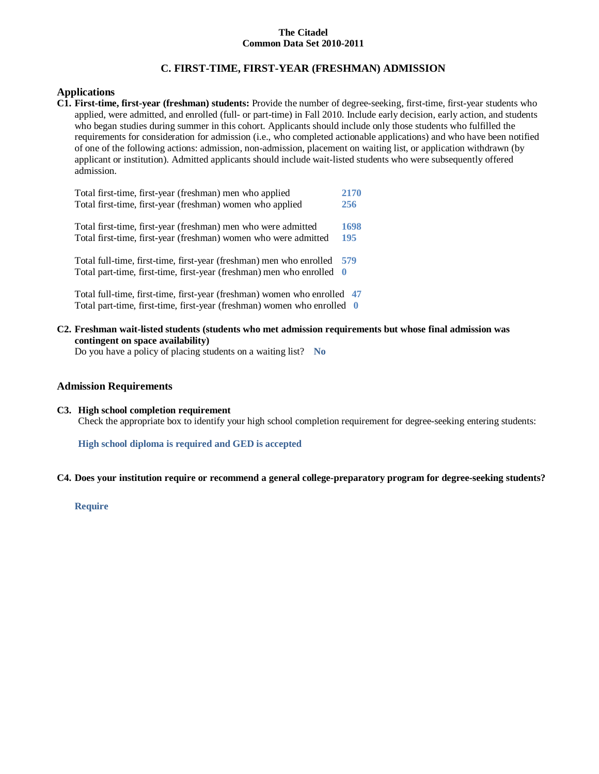# **C. FIRST-TIME, FIRST-YEAR (FRESHMAN) ADMISSION**

### **Applications**

**C1. First-time, first-year (freshman) students:** Provide the number of degree-seeking, first-time, first-year students who applied, were admitted, and enrolled (full- or part-time) in Fall 2010. Include early decision, early action, and students who began studies during summer in this cohort. Applicants should include only those students who fulfilled the requirements for consideration for admission (i.e., who completed actionable applications) and who have been notified of one of the following actions: admission, non-admission, placement on waiting list, or application withdrawn (by applicant or institution). Admitted applicants should include wait-listed students who were subsequently offered admission.

| Total first-time, first-year (freshman) men who applied                  | 2170 |
|--------------------------------------------------------------------------|------|
| Total first-time, first-year (freshman) women who applied                | 256  |
| Total first-time, first-year (freshman) men who were admitted            | 1698 |
| Total first-time, first-year (freshman) women who were admitted          | 195  |
| Total full-time, first-time, first-year (freshman) men who enrolled      | 579  |
| Total part-time, first-time, first-year (freshman) men who enrolled      | - 0  |
| Total full-time, first-time, first-year (freshman) women who enrolled 47 |      |

Total part-time, first-time, first-year (freshman) women who enrolled **0**

**C2. Freshman wait-listed students (students who met admission requirements but whose final admission was contingent on space availability)**

Do you have a policy of placing students on a waiting list? **No**

# **Admission Requirements**

**C3. High school completion requirement** Check the appropriate box to identify your high school completion requirement for degree-seeking entering students:

**High school diploma is required and GED is accepted**

### **C4. Does your institution require or recommend a general college-preparatory program for degree-seeking students?**

**Require**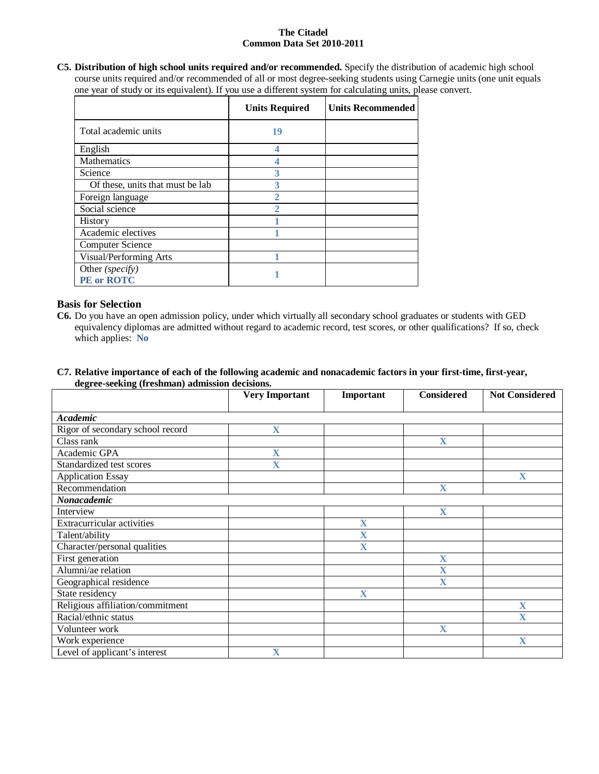**C5. Distribution of high school units required and/or recommended.** Specify the distribution of academic high school course units required and/or recommended of all or most degree-seeking students using Carnegie units (one unit equals one year of study or its equivalent). If you use a different system for calculating units, please convert.

|                                  | <b>Units Required</b> | <b>Units Recommended</b> |
|----------------------------------|-----------------------|--------------------------|
| Total academic units             | 19                    |                          |
| English                          |                       |                          |
| Mathematics                      |                       |                          |
| Science                          |                       |                          |
| Of these, units that must be lab | 3                     |                          |
| Foreign language                 | 2                     |                          |
| Social science                   |                       |                          |
| History                          |                       |                          |
| Academic electives               |                       |                          |
| <b>Computer Science</b>          |                       |                          |
| Visual/Performing Arts           |                       |                          |
| Other (specify)                  |                       |                          |
| <b>PE</b> or ROTC                |                       |                          |

# **Basis for Selection**

**C6.** Do you have an open admission policy, under which virtually all secondary school graduates or students with GED equivalency diplomas are admitted without regard to academic record, test scores, or other qualifications? If so, check which applies: **No**

### **C7. Relative importance of each of the following academic and nonacademic factors in your first-time, first-year, degree-seeking (freshman) admission decisions.**

|                                  | <b>Very Important</b>   | Important               | <b>Considered</b>       | <b>Not Considered</b>   |
|----------------------------------|-------------------------|-------------------------|-------------------------|-------------------------|
|                                  |                         |                         |                         |                         |
| <b>Academic</b>                  |                         |                         |                         |                         |
| Rigor of secondary school record | $\overline{\mathbf{X}}$ |                         |                         |                         |
| Class rank                       |                         |                         | $\overline{\mathbf{X}}$ |                         |
| Academic GPA                     | $\mathbf X$             |                         |                         |                         |
| Standardized test scores         | X                       |                         |                         |                         |
| <b>Application Essay</b>         |                         |                         |                         | X                       |
| Recommendation                   |                         |                         | $\overline{\mathbf{X}}$ |                         |
| Nonacademic                      |                         |                         |                         |                         |
| Interview                        |                         |                         | $\overline{\mathbf{X}}$ |                         |
| Extracurricular activities       |                         | $\overline{\mathbf{X}}$ |                         |                         |
| Talent/ability                   |                         | $\overline{\mathbf{X}}$ |                         |                         |
| Character/personal qualities     |                         | $\overline{\mathbf{X}}$ |                         |                         |
| First generation                 |                         |                         | $\overline{\mathbf{X}}$ |                         |
| Alumni/ae relation               |                         |                         | X                       |                         |
| Geographical residence           |                         |                         | $\overline{\mathbf{X}}$ |                         |
| State residency                  |                         | $\overline{\mathbf{X}}$ |                         |                         |
| Religious affiliation/commitment |                         |                         |                         | X                       |
| Racial/ethnic status             |                         |                         |                         | $\overline{\mathbf{X}}$ |
| Volunteer work                   |                         |                         | $\mathbf X$             |                         |
| Work experience                  |                         |                         |                         | $\mathbf X$             |
| Level of applicant's interest    | X                       |                         |                         |                         |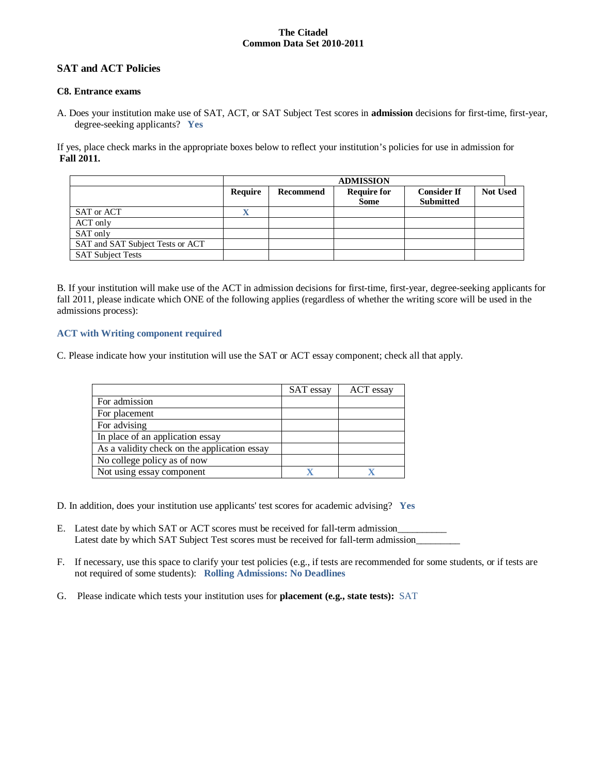# **SAT and ACT Policies**

# **C8. Entrance exams**

A. Does your institution make use of SAT, ACT, or SAT Subject Test scores in **admission** decisions for first-time, first-year, degree-seeking applicants? **Yes**

If yes, place check marks in the appropriate boxes below to reflect your institution's policies for use in admission for **Fall 2011.**

|                                  |                |           | <b>ADMISSION</b>   |                    |                 |
|----------------------------------|----------------|-----------|--------------------|--------------------|-----------------|
|                                  | <b>Require</b> | Recommend | <b>Require for</b> | <b>Consider If</b> | <b>Not Used</b> |
|                                  |                |           | <b>Some</b>        | <b>Submitted</b>   |                 |
| SAT or ACT                       | △              |           |                    |                    |                 |
| ACT only                         |                |           |                    |                    |                 |
| SAT only                         |                |           |                    |                    |                 |
| SAT and SAT Subject Tests or ACT |                |           |                    |                    |                 |
| <b>SAT Subject Tests</b>         |                |           |                    |                    |                 |

B. If your institution will make use of the ACT in admission decisions for first-time, first-year, degree-seeking applicants for fall 2011, please indicate which ONE of the following applies (regardless of whether the writing score will be used in the admissions process):

# **ACT with Writing component required**

C. Please indicate how your institution will use the SAT or ACT essay component; check all that apply.

|                                              | <b>SAT</b> essay | ACT essay |
|----------------------------------------------|------------------|-----------|
| For admission                                |                  |           |
| For placement                                |                  |           |
| For advising                                 |                  |           |
| In place of an application essay             |                  |           |
| As a validity check on the application essay |                  |           |
| No college policy as of now                  |                  |           |
| Not using essay component                    |                  |           |

- D. In addition, does your institution use applicants' test scores for academic advising? **Yes**
- E. Latest date by which SAT or ACT scores must be received for fall-term admission\_\_\_\_\_\_\_\_\_\_ Latest date by which SAT Subject Test scores must be received for fall-term admission\_\_\_\_\_\_\_\_\_\_\_\_\_\_\_\_\_\_\_\_\_\_\_\_\_
- F. If necessary, use this space to clarify your test policies (e.g., if tests are recommended for some students, or if tests are not required of some students): **Rolling Admissions: No Deadlines**
- G. Please indicate which tests your institution uses for **placement (e.g., state tests):** SAT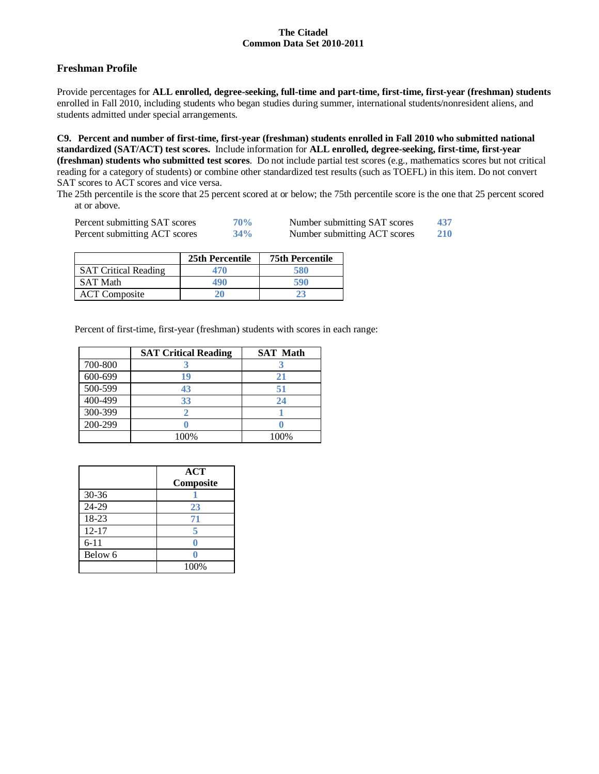# **Freshman Profile**

Provide percentages for **ALL enrolled, degree-seeking, full-time and part-time, first-time, first-year (freshman) students**  enrolled in Fall 2010, including students who began studies during summer, international students/nonresident aliens, and students admitted under special arrangements.

**C9. Percent and number of first-time, first-year (freshman) students enrolled in Fall 2010 who submitted national standardized (SAT/ACT) test scores.** Include information for **ALL enrolled, degree-seeking, first-time, first-year (freshman) students who submitted test scores**. Do not include partial test scores (e.g., mathematics scores but not critical reading for a category of students) or combine other standardized test results (such as TOEFL) in this item. Do not convert SAT scores to ACT scores and vice versa.

The 25th percentile is the score that 25 percent scored at or below; the 75th percentile score is the one that 25 percent scored at or above.

| Percent submitting SAT scores | 70% | Number submitting SAT scores | 437 |
|-------------------------------|-----|------------------------------|-----|
| Percent submitting ACT scores | 34% | Number submitting ACT scores | 210 |

|                             | 25th Percentile | <b>75th Percentile</b> |
|-----------------------------|-----------------|------------------------|
| <b>SAT Critical Reading</b> | 470             | 580                    |
| <b>SAT Math</b>             | 190             | 590                    |
| <b>ACT</b> Composite        | 20              |                        |

Percent of first-time, first-year (freshman) students with scores in each range:

|         | <b>SAT Critical Reading</b> | <b>SAT Math</b> |
|---------|-----------------------------|-----------------|
| 700-800 |                             |                 |
| 600-699 | 19                          | 21              |
| 500-599 | 43                          | 51              |
| 400-499 | 33                          | 24              |
| 300-399 |                             |                 |
| 200-299 |                             |                 |
|         | 100%                        | 100%            |

|           | ACT<br>Composite |
|-----------|------------------|
| $30 - 36$ |                  |
| 24-29     | 23               |
| 18-23     | 71               |
| $12 - 17$ | 5                |
| $6 - 11$  |                  |
| Below 6   |                  |
|           | 100%             |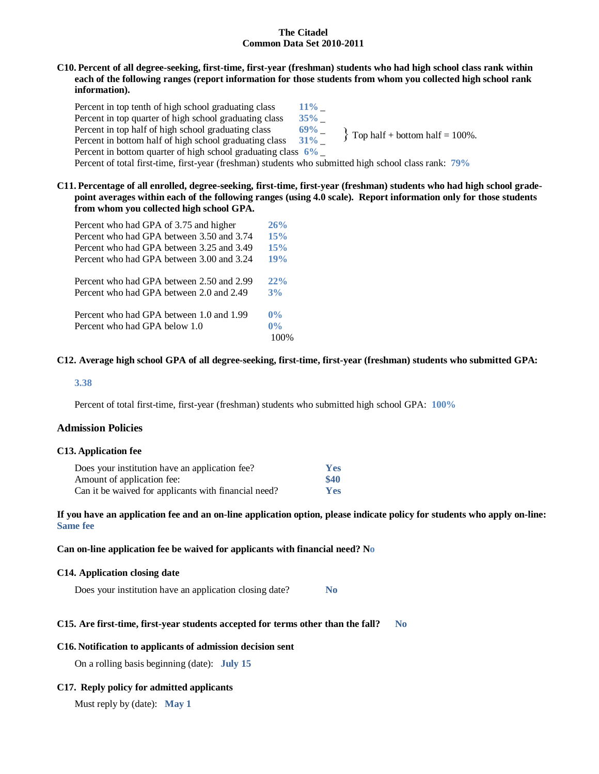### **C10. Percent of all degree-seeking, first-time, first-year (freshman) students who had high school class rank within each of the following ranges (report information for those students from whom you collected high school rank information).**

Percent in top tenth of high school graduating class  $11\%$ Percent in top quarter of high school graduating class  $35\%$  \_<br>Percent in top half of high school graduating class  $69\%$ Percent in top half of high school graduating class **69%** \_ Percent in bottom half of high school graduating class **69%** Percent in bottom half of high school graduating class Percent in bottom quarter of high school graduating class **6%** \_ Percent of total first-time, first-year (freshman) students who submitted high school class rank: **79%**  $\{$  Top half + bottom half = 100%.

# **C11. Percentage of all enrolled, degree-seeking, first-time, first-year (freshman) students who had high school gradepoint averages within each of the following ranges (using 4.0 scale). Report information only for those students from whom you collected high school GPA.**

| Percent who had GPA of 3.75 and higher    | 26%   |
|-------------------------------------------|-------|
| Percent who had GPA between 3.50 and 3.74 | 15%   |
| Percent who had GPA between 3.25 and 3.49 | 15%   |
| Percent who had GPA between 3.00 and 3.24 | 19%   |
| Percent who had GPA between 2.50 and 2.99 | 22%   |
| Percent who had GPA between 2.0 and 2.49  | 3%    |
| Percent who had GPA between 1.0 and 1.99  | $0\%$ |
| Percent who had GPA below 1.0             | $0\%$ |
|                                           | 100%  |

### **C12. Average high school GPA of all degree-seeking, first-time, first-year (freshman) students who submitted GPA:**

### **3.38**

Percent of total first-time, first-year (freshman) students who submitted high school GPA: **100%**

### **Admission Policies**

#### **C13. Application fee**

| Does your institution have an application fee?       | <b>Yes</b> |
|------------------------------------------------------|------------|
| Amount of application fee:                           | \$40       |
| Can it be waived for applicants with financial need? | Yes        |

### **If you have an application fee and an on-line application option, please indicate policy for students who apply on-line: Same fee**

#### **Can on-line application fee be waived for applicants with financial need? No**

### **C14. Application closing date**

Does your institution have an application closing date? **No**

### **C15. Are first-time, first-year students accepted for terms other than the fall? No**

#### **C16. Notification to applicants of admission decision sent**

On a rolling basis beginning (date): **July 15**

### **C17. Reply policy for admitted applicants**

Must reply by (date): **May 1**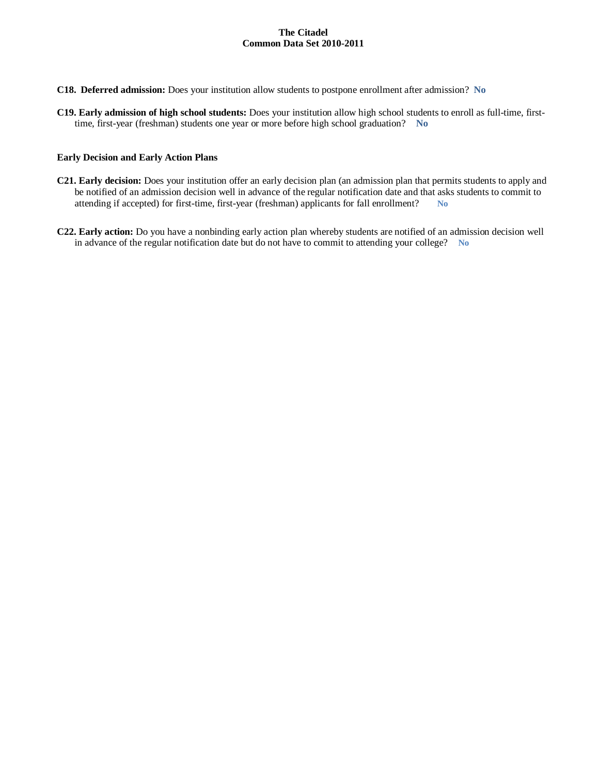- **C18. Deferred admission:** Does your institution allow students to postpone enrollment after admission? **No**
- **C19. Early admission of high school students:** Does your institution allow high school students to enroll as full-time, firsttime, first-year (freshman) students one year or more before high school graduation? **No**

#### **Early Decision and Early Action Plans**

- **C21. Early decision:** Does your institution offer an early decision plan (an admission plan that permits students to apply and be notified of an admission decision well in advance of the regular notification date and that asks students to commit to attending if accepted) for first-time, first-year (freshman) applicants for fall enrollment? **No**
- **C22. Early action:** Do you have a nonbinding early action plan whereby students are notified of an admission decision well in advance of the regular notification date but do not have to commit to attending your college? **No**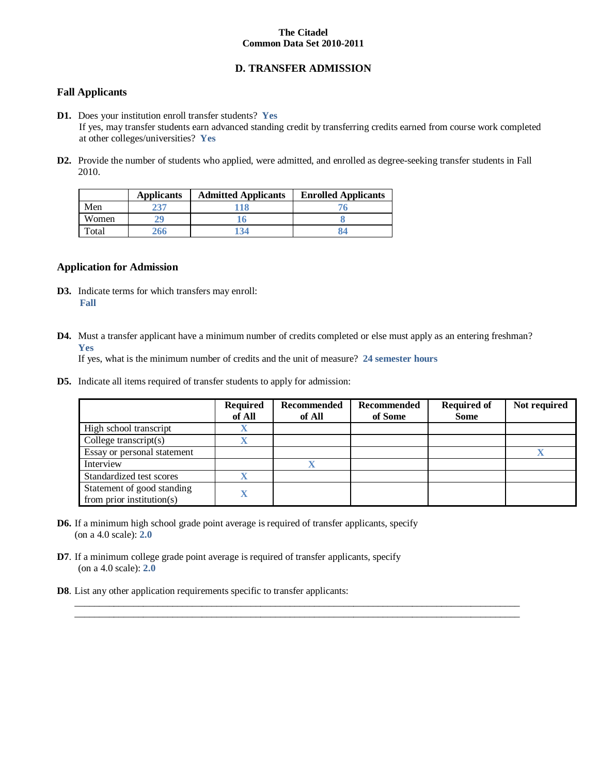# **D. TRANSFER ADMISSION**

# **Fall Applicants**

- **D1.** Does your institution enroll transfer students? **Yes** If yes, may transfer students earn advanced standing credit by transferring credits earned from course work completed at other colleges/universities? **Yes**
- **D2.** Provide the number of students who applied, were admitted, and enrolled as degree-seeking transfer students in Fall 2010.

|       | <b>Applicants</b> | <b>Admitted Applicants</b> | <b>Enrolled Applicants</b> |
|-------|-------------------|----------------------------|----------------------------|
| Men   |                   |                            |                            |
| Women |                   |                            |                            |
| Total | 266               | 134                        |                            |

### **Application for Admission**

- **D3.** Indicate terms for which transfers may enroll: **Fall**
- **D4.** Must a transfer applicant have a minimum number of credits completed or else must apply as an entering freshman? **Yes**

 $\_$  , and the set of the set of the set of the set of the set of the set of the set of the set of the set of the set of the set of the set of the set of the set of the set of the set of the set of the set of the set of th  $\_$  , and the set of the set of the set of the set of the set of the set of the set of the set of the set of the set of the set of the set of the set of the set of the set of the set of the set of the set of the set of th

If yes, what is the minimum number of credits and the unit of measure? **24 semester hours**

**D5.** Indicate all items required of transfer students to apply for admission:

|                                                         | <b>Required</b><br>of All | Recommended<br>of All | Recommended<br>of Some | <b>Required of</b><br><b>Some</b> | Not required |
|---------------------------------------------------------|---------------------------|-----------------------|------------------------|-----------------------------------|--------------|
| High school transcript                                  |                           |                       |                        |                                   |              |
| College transcript $(s)$                                |                           |                       |                        |                                   |              |
| Essay or personal statement                             |                           |                       |                        |                                   |              |
| Interview                                               |                           | v                     |                        |                                   |              |
| Standardized test scores                                |                           |                       |                        |                                   |              |
| Statement of good standing<br>from prior institution(s) |                           |                       |                        |                                   |              |

- **D6.** If a minimum high school grade point average is required of transfer applicants, specify (on a 4.0 scale): **2.0**
- **D7**. If a minimum college grade point average is required of transfer applicants, specify (on a 4.0 scale): **2.0**
- **D8**. List any other application requirements specific to transfer applicants: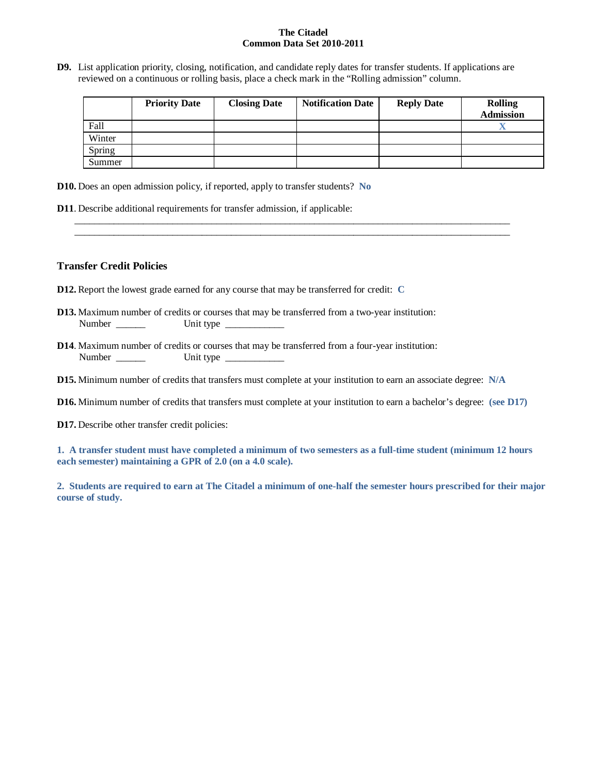**D9.** List application priority, closing, notification, and candidate reply dates for transfer students. If applications are reviewed on a continuous or rolling basis, place a check mark in the "Rolling admission" column.

\_\_\_\_\_\_\_\_\_\_\_\_\_\_\_\_\_\_\_\_\_\_\_\_\_\_\_\_\_\_\_\_\_\_\_\_\_\_\_\_\_\_\_\_\_\_\_\_\_\_\_\_\_\_\_\_\_\_\_\_\_\_\_\_\_\_\_\_\_\_\_\_\_\_\_\_\_\_\_\_\_\_\_\_\_\_\_\_\_ \_\_\_\_\_\_\_\_\_\_\_\_\_\_\_\_\_\_\_\_\_\_\_\_\_\_\_\_\_\_\_\_\_\_\_\_\_\_\_\_\_\_\_\_\_\_\_\_\_\_\_\_\_\_\_\_\_\_\_\_\_\_\_\_\_\_\_\_\_\_\_\_\_\_\_\_\_\_\_\_\_\_\_\_\_\_\_\_\_

|        | <b>Priority Date</b> | <b>Closing Date</b> | <b>Notification Date</b> | <b>Reply Date</b> | <b>Rolling</b><br><b>Admission</b> |
|--------|----------------------|---------------------|--------------------------|-------------------|------------------------------------|
| Fall   |                      |                     |                          |                   | ∡⊾                                 |
| Winter |                      |                     |                          |                   |                                    |
| Spring |                      |                     |                          |                   |                                    |
| Summer |                      |                     |                          |                   |                                    |

**D10.** Does an open admission policy, if reported, apply to transfer students? **No**

**D11**. Describe additional requirements for transfer admission, if applicable:

# **Transfer Credit Policies**

- **D12.** Report the lowest grade earned for any course that may be transferred for credit: **C**
- **D13.** Maximum number of credits or courses that may be transferred from a two-year institution: Number \_\_\_\_\_\_ Unit type \_\_\_\_\_\_\_\_\_\_\_\_
- **D14**. Maximum number of credits or courses that may be transferred from a four-year institution: Number \_\_\_\_\_\_ Unit type \_\_\_\_\_\_\_\_\_\_\_\_
- **D15.** Minimum number of credits that transfers must complete at your institution to earn an associate degree: **N/A**
- **D16.** Minimum number of credits that transfers must complete at your institution to earn a bachelor's degree: **(see D17)**
- **D17.** Describe other transfer credit policies:

**1. A transfer student must have completed a minimum of two semesters as a full-time student (minimum 12 hours each semester) maintaining a GPR of 2.0 (on a 4.0 scale).**

**2. Students are required to earn at The Citadel a minimum of one-half the semester hours prescribed for their major course of study.**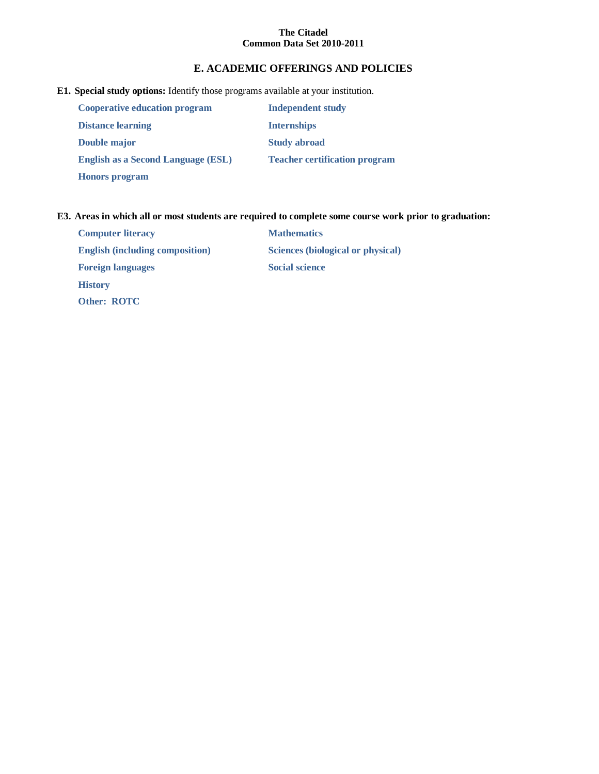# **E. ACADEMIC OFFERINGS AND POLICIES**

# **E1. Special study options:** Identify those programs available at your institution.

| <b>Cooperative education program</b>      | <b>Independent study</b>             |
|-------------------------------------------|--------------------------------------|
| <b>Distance learning</b>                  | <b>Internships</b>                   |
| Double major                              | <b>Study abroad</b>                  |
| <b>English as a Second Language (ESL)</b> | <b>Teacher certification program</b> |
| <b>Honors</b> program                     |                                      |

# **E3. Areas in which all or most students are required to complete some course work prior to graduation:**

| <b>Computer literacy</b>               | <b>Mathematics</b>                |
|----------------------------------------|-----------------------------------|
| <b>English (including composition)</b> | Sciences (biological or physical) |
| <b>Foreign languages</b>               | <b>Social science</b>             |
| <b>History</b>                         |                                   |
| <b>Other: ROTC</b>                     |                                   |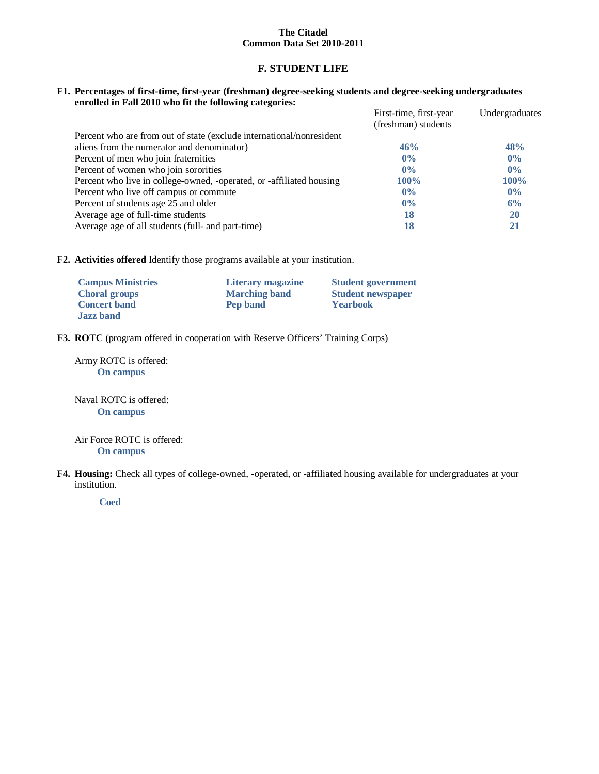# **F. STUDENT LIFE**

### **F1. Percentages of first-time, first-year (freshman) degree-seeking students and degree-seeking undergraduates enrolled in Fall 2010 who fit the following categories:**

|                                                                      | First-time, first-year | Undergraduates |
|----------------------------------------------------------------------|------------------------|----------------|
|                                                                      | (freshman) students    |                |
| Percent who are from out of state (exclude international/nonresident |                        |                |
| aliens from the numerator and denominator)                           | 46%                    | 48%            |
| Percent of men who join fraternities                                 | $0\%$                  | $0\%$          |
| Percent of women who join sororities                                 | $0\%$                  | $0\%$          |
| Percent who live in college-owned, -operated, or -affiliated housing | $100\%$                | $100\%$        |
| Percent who live off campus or commute                               | $0\%$                  | $0\%$          |
| Percent of students age 25 and older                                 | 0%                     | 6%             |
| Average age of full-time students                                    | 18                     | <b>20</b>      |
| Average age of all students (full- and part-time)                    | 18                     | 21             |

**F2. Activities offered** Identify those programs available at your institution.

| <b>Campus Ministries</b> | Literary magazine    | <b>Student government</b> |
|--------------------------|----------------------|---------------------------|
| <b>Choral groups</b>     | <b>Marching band</b> | <b>Student newspaper</b>  |
| <b>Concert band</b>      | Pep band             | <b>Yearbook</b>           |
| <b>Jazz</b> band         |                      |                           |

**F3. ROTC** (program offered in cooperation with Reserve Officers' Training Corps)

Army ROTC is offered: **On campus**

Naval ROTC is offered: **On campus**

Air Force ROTC is offered: **On campus**

**F4. Housing:** Check all types of college-owned, -operated, or -affiliated housing available for undergraduates at your institution.

**Coed**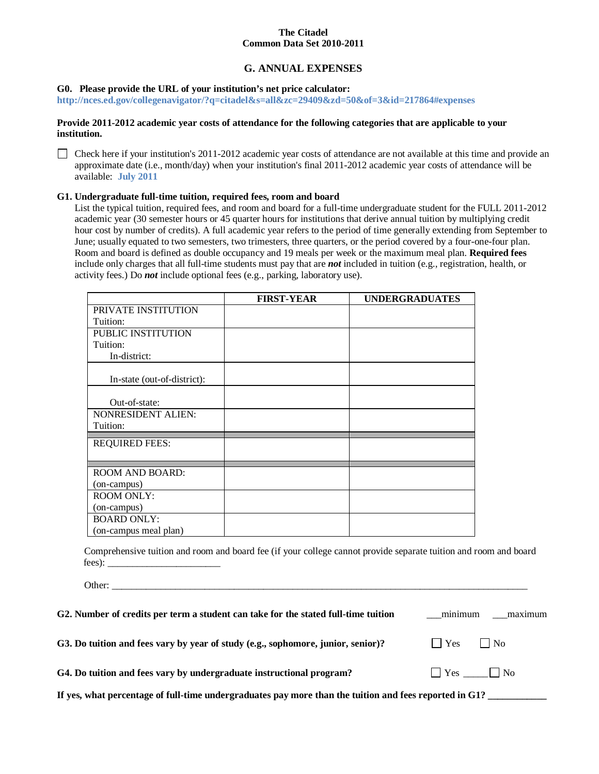# **G. ANNUAL EXPENSES**

### **G0. Please provide the URL of your institution's net price calculator:**

**http://nces.ed.gov/collegenavigator/?q=citadel&s=all&zc=29409&zd=50&of=3&id=217864#expenses**

### **Provide 2011-2012 academic year costs of attendance for the following categories that are applicable to your institution.**

 $\Box$  Check here if your institution's 2011-2012 academic year costs of attendance are not available at this time and provide an approximate date (i.e., month/day) when your institution's final 2011-2012 academic year costs of attendance will be available: **July 2011**

### **G1. Undergraduate full-time tuition, required fees, room and board**

List the typical tuition, required fees, and room and board for a full-time undergraduate student for the FULL 2011-2012 academic year (30 semester hours or 45 quarter hours for institutions that derive annual tuition by multiplying credit hour cost by number of credits). A full academic year refers to the period of time generally extending from September to June; usually equated to two semesters, two trimesters, three quarters, or the period covered by a four-one-four plan. Room and board is defined as double occupancy and 19 meals per week or the maximum meal plan. **Required fees** include only charges that all full-time students must pay that are *not* included in tuition (e.g., registration, health, or activity fees.) Do *not* include optional fees (e.g., parking, laboratory use).

|                             | <b>FIRST-YEAR</b> | <b>UNDERGRADUATES</b> |
|-----------------------------|-------------------|-----------------------|
| PRIVATE INSTITUTION         |                   |                       |
| Tuition:                    |                   |                       |
| PUBLIC INSTITUTION          |                   |                       |
| Tuition:                    |                   |                       |
| In-district:                |                   |                       |
|                             |                   |                       |
| In-state (out-of-district): |                   |                       |
|                             |                   |                       |
| Out-of-state:               |                   |                       |
| <b>NONRESIDENT ALIEN:</b>   |                   |                       |
| Tuition:                    |                   |                       |
| <b>REQUIRED FEES:</b>       |                   |                       |
|                             |                   |                       |
|                             |                   |                       |
| <b>ROOM AND BOARD:</b>      |                   |                       |
| (on-campus)                 |                   |                       |
| <b>ROOM ONLY:</b>           |                   |                       |
| (on-campus)                 |                   |                       |
| <b>BOARD ONLY:</b>          |                   |                       |
| (on-campus meal plan)       |                   |                       |

Comprehensive tuition and room and board fee (if your college cannot provide separate tuition and room and board fees): \_\_\_\_\_\_\_\_\_\_\_\_\_\_\_\_\_\_\_\_\_\_\_

Other: \_\_\_\_\_\_\_\_\_\_\_\_\_\_\_\_\_\_\_\_\_\_\_\_\_\_\_\_\_\_\_\_\_\_\_\_\_\_\_\_\_\_\_\_\_\_\_\_\_\_\_\_\_\_\_\_\_\_\_\_\_\_\_\_\_\_\_\_\_\_\_\_\_\_\_\_\_\_\_\_\_\_\_\_\_

| G2. Number of credits per term a student can take for the stated full-time tuition                     | ___maximum<br>minimum      |
|--------------------------------------------------------------------------------------------------------|----------------------------|
| G3. Do tuition and fees vary by year of study (e.g., sophomore, junior, senior)?                       | $\Box$ Yes $\Box$ No       |
| G4. Do tuition and fees vary by undergraduate instructional program?                                   | $\bigcap$ Yes $\bigcap$ No |
| If yes, what percentage of full-time undergraduates pay more than the tuition and fees reported in G1? |                            |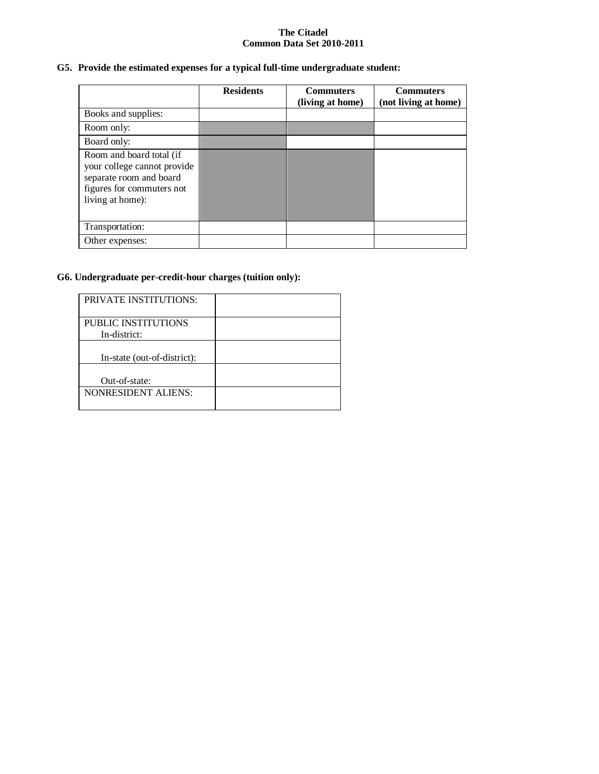# **G5. Provide the estimated expenses for a typical full-time undergraduate student:**

|                                                                                                                                     | <b>Residents</b> | <b>Commuters</b><br>(living at home) | <b>Commuters</b><br>(not living at home) |
|-------------------------------------------------------------------------------------------------------------------------------------|------------------|--------------------------------------|------------------------------------------|
| Books and supplies:                                                                                                                 |                  |                                      |                                          |
| Room only:                                                                                                                          |                  |                                      |                                          |
| Board only:                                                                                                                         |                  |                                      |                                          |
| Room and board total (if<br>your college cannot provide<br>separate room and board<br>figures for commuters not<br>living at home): |                  |                                      |                                          |
| Transportation:                                                                                                                     |                  |                                      |                                          |
| Other expenses:                                                                                                                     |                  |                                      |                                          |

# **G6. Undergraduate per-credit-hour charges (tuition only):**

| <b>PRIVATE INSTITUTIONS:</b>        |  |
|-------------------------------------|--|
| PUBLIC INSTITUTIONS<br>In-district: |  |
| In-state (out-of-district):         |  |
| Out-of-state:                       |  |
| <b>NONRESIDENT ALIENS:</b>          |  |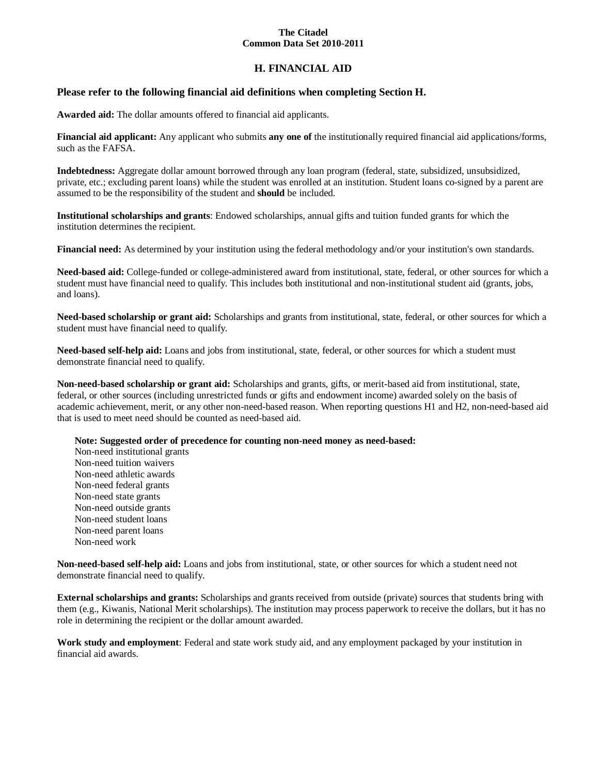# **H. FINANCIAL AID**

# **Please refer to the following financial aid definitions when completing Section H.**

**Awarded aid:** The dollar amounts offered to financial aid applicants.

**Financial aid applicant:** Any applicant who submits **any one of** the institutionally required financial aid applications/forms, such as the FAFSA.

**Indebtedness:** Aggregate dollar amount borrowed through any loan program (federal, state, subsidized, unsubsidized, private, etc.; excluding parent loans) while the student was enrolled at an institution. Student loans co-signed by a parent are assumed to be the responsibility of the student and **should** be included.

**Institutional scholarships and grants**: Endowed scholarships, annual gifts and tuition funded grants for which the institution determines the recipient.

**Financial need:** As determined by your institution using the federal methodology and/or your institution's own standards.

**Need-based aid:** College-funded or college-administered award from institutional, state, federal, or other sources for which a student must have financial need to qualify. This includes both institutional and non-institutional student aid (grants, jobs, and loans).

**Need-based scholarship or grant aid:** Scholarships and grants from institutional, state, federal, or other sources for which a student must have financial need to qualify.

**Need-based self-help aid:** Loans and jobs from institutional, state, federal, or other sources for which a student must demonstrate financial need to qualify.

**Non-need-based scholarship or grant aid:** Scholarships and grants, gifts, or merit-based aid from institutional, state, federal, or other sources (including unrestricted funds or gifts and endowment income) awarded solely on the basis of academic achievement, merit, or any other non-need-based reason. When reporting questions H1 and H2, non-need-based aid that is used to meet need should be counted as need-based aid.

**Note: Suggested order of precedence for counting non-need money as need-based:**

Non-need institutional grants Non-need tuition waivers Non-need athletic awards Non-need federal grants Non-need state grants Non-need outside grants Non-need student loans Non-need parent loans Non-need work

**Non-need-based self-help aid:** Loans and jobs from institutional, state, or other sources for which a student need not demonstrate financial need to qualify.

**External scholarships and grants:** Scholarships and grants received from outside (private) sources that students bring with them (e.g., Kiwanis, National Merit scholarships). The institution may process paperwork to receive the dollars, but it has no role in determining the recipient or the dollar amount awarded.

**Work study and employment**: Federal and state work study aid, and any employment packaged by your institution in financial aid awards.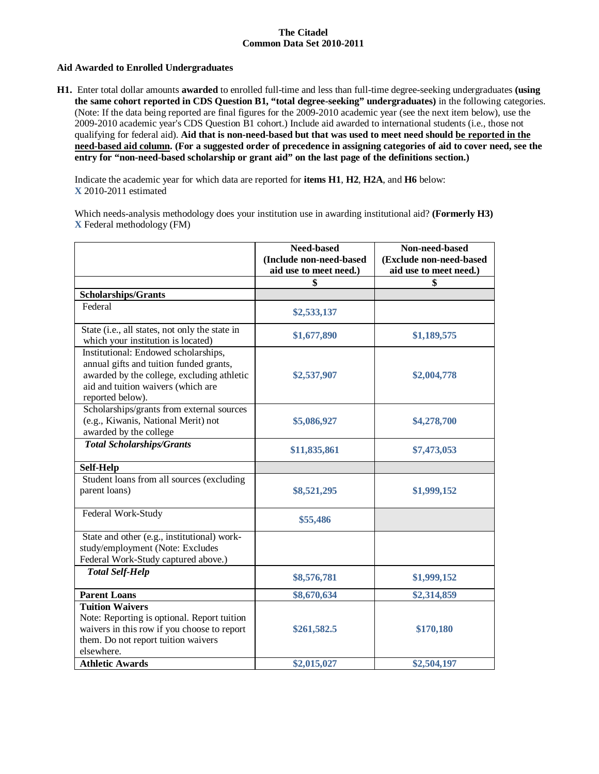### **Aid Awarded to Enrolled Undergraduates**

**H1.** Enter total dollar amounts **awarded** to enrolled full-time and less than full-time degree-seeking undergraduates **(using the same cohort reported in CDS Question B1, "total degree-seeking" undergraduates)** in the following categories. (Note: If the data being reported are final figures for the 2009-2010 academic year (see the next item below), use the 2009-2010 academic year's CDS Question B1 cohort.) Include aid awarded to international students (i.e., those not qualifying for federal aid). **Aid that is non-need-based but that was used to meet need should be reported in the need-based aid column. (For a suggested order of precedence in assigning categories of aid to cover need, see the entry for "non-need-based scholarship or grant aid" on the last page of the definitions section.)**

Indicate the academic year for which data are reported for **items H1**, **H2**, **H2A**, and **H6** below: **X** 2010-2011 estimated

Which needs-analysis methodology does your institution use in awarding institutional aid? **(Formerly H3) X** Federal methodology (FM)

|                                                                                                                                                                                         | <b>Need-based</b><br>(Include non-need-based | Non-need-based<br>(Exclude non-need-based |
|-----------------------------------------------------------------------------------------------------------------------------------------------------------------------------------------|----------------------------------------------|-------------------------------------------|
|                                                                                                                                                                                         | aid use to meet need.)                       | aid use to meet need.)                    |
|                                                                                                                                                                                         |                                              |                                           |
| <b>Scholarships/Grants</b>                                                                                                                                                              |                                              |                                           |
| Federal                                                                                                                                                                                 | \$2,533,137                                  |                                           |
| State (i.e., all states, not only the state in<br>which your institution is located)                                                                                                    | \$1,677,890                                  | \$1,189,575                               |
| Institutional: Endowed scholarships,<br>annual gifts and tuition funded grants,<br>awarded by the college, excluding athletic<br>aid and tuition waivers (which are<br>reported below). | \$2,537,907                                  | \$2,004,778                               |
| Scholarships/grants from external sources<br>(e.g., Kiwanis, National Merit) not<br>awarded by the college                                                                              | \$5,086,927                                  | \$4,278,700                               |
| <b>Total Scholarships/Grants</b>                                                                                                                                                        | \$11,835,861                                 | \$7,473,053                               |
| Self-Help                                                                                                                                                                               |                                              |                                           |
| Student loans from all sources (excluding<br>parent loans)                                                                                                                              | \$8,521,295                                  | \$1,999,152                               |
| Federal Work-Study                                                                                                                                                                      | \$55,486                                     |                                           |
| State and other (e.g., institutional) work-<br>study/employment (Note: Excludes<br>Federal Work-Study captured above.)                                                                  |                                              |                                           |
| <b>Total Self-Help</b>                                                                                                                                                                  | \$8,576,781                                  | \$1,999,152                               |
| <b>Parent Loans</b>                                                                                                                                                                     | \$8,670,634                                  | \$2,314,859                               |
| <b>Tuition Waivers</b><br>Note: Reporting is optional. Report tuition<br>waivers in this row if you choose to report<br>them. Do not report tuition waivers<br>elsewhere.               | \$261,582.5                                  | \$170,180                                 |
| <b>Athletic Awards</b>                                                                                                                                                                  | \$2,015,027                                  | \$2,504,197                               |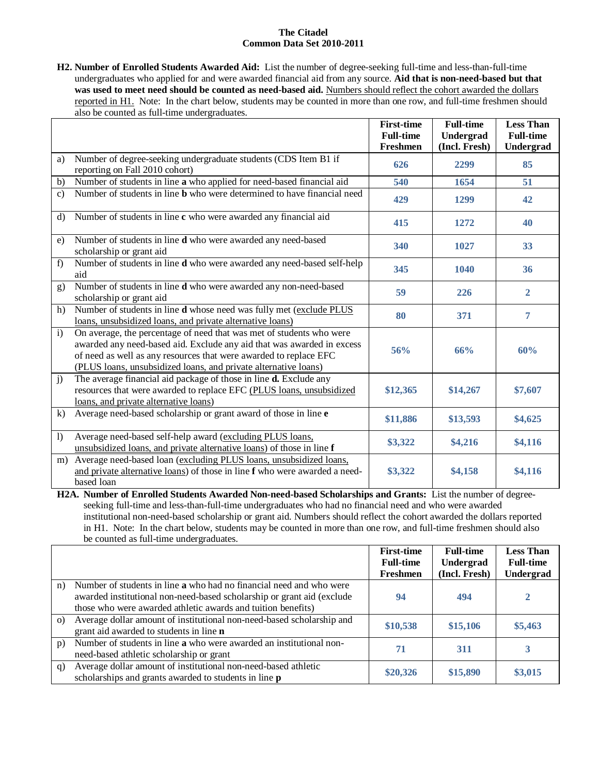**H2. Number of Enrolled Students Awarded Aid:** List the number of degree-seeking full-time and less-than-full-time undergraduates who applied for and were awarded financial aid from any source. **Aid that is non-need-based but that**  was used to meet need should be counted as need-based aid. Numbers should reflect the cohort awarded the dollars reported in H1. Note: In the chart below, students may be counted in more than one row, and full-time freshmen should also be counted as full-time undergraduates.

|                |                                                                                                                                                                                                                                                                                        | <b>First-time</b><br><b>Full-time</b> | <b>Full-time</b><br>Undergrad | <b>Less Than</b><br><b>Full-time</b> |
|----------------|----------------------------------------------------------------------------------------------------------------------------------------------------------------------------------------------------------------------------------------------------------------------------------------|---------------------------------------|-------------------------------|--------------------------------------|
|                |                                                                                                                                                                                                                                                                                        | Freshmen                              | (Incl. Fresh)                 | Undergrad                            |
| a)             | Number of degree-seeking undergraduate students (CDS Item B1 if<br>reporting on Fall 2010 cohort)                                                                                                                                                                                      | 626                                   | 2299                          | 85                                   |
| b)             | Number of students in line a who applied for need-based financial aid                                                                                                                                                                                                                  | 540                                   | 1654                          | 51                                   |
| $\mathbf{c}$ ) | Number of students in line <b>b</b> who were determined to have financial need                                                                                                                                                                                                         | 429                                   | 1299                          | 42                                   |
| $\rm d$        | Number of students in line c who were awarded any financial aid                                                                                                                                                                                                                        | 415                                   | 1272                          | 40                                   |
| e)             | Number of students in line <b>d</b> who were awarded any need-based<br>scholarship or grant aid                                                                                                                                                                                        | 340                                   | 1027                          | 33                                   |
| f)             | Number of students in line d who were awarded any need-based self-help<br>aid                                                                                                                                                                                                          | 345                                   | 1040                          | 36                                   |
| g)             | Number of students in line d who were awarded any non-need-based<br>scholarship or grant aid                                                                                                                                                                                           | 59                                    | 226                           | $\overline{2}$                       |
| h)             | Number of students in line d whose need was fully met (exclude PLUS<br>loans, unsubsidized loans, and private alternative loans)                                                                                                                                                       | 80                                    | 371                           | $\overline{7}$                       |
| $\mathbf{i}$   | On average, the percentage of need that was met of students who were<br>awarded any need-based aid. Exclude any aid that was awarded in excess<br>of need as well as any resources that were awarded to replace EFC<br>(PLUS loans, unsubsidized loans, and private alternative loans) | 56%                                   | 66%                           | 60%                                  |
| $\mathbf{j}$   | The average financial aid package of those in line <b>d.</b> Exclude any<br>resources that were awarded to replace EFC (PLUS loans, unsubsidized<br>loans, and private alternative loans)                                                                                              | \$12,365                              | \$14,267                      | \$7,607                              |
| $\bf{k}$       | Average need-based scholarship or grant award of those in line e                                                                                                                                                                                                                       | \$11,886                              | \$13,593                      | \$4,625                              |
| $\mathbf{I}$   | Average need-based self-help award (excluding PLUS loans,<br>unsubsidized loans, and private alternative loans) of those in line f                                                                                                                                                     | \$3,322                               | \$4,216                       | \$4,116                              |
| m)             | Average need-based loan (excluding PLUS loans, unsubsidized loans,<br>and private alternative loans) of those in line f who were awarded a need-<br>based loan                                                                                                                         | \$3,322                               | \$4,158                       | \$4,116                              |

**H2A. Number of Enrolled Students Awarded Non-need-based Scholarships and Grants:** List the number of degreeseeking full-time and less-than-full-time undergraduates who had no financial need and who were awarded institutional non-need-based scholarship or grant aid. Numbers should reflect the cohort awarded the dollars reported in H1. Note: In the chart below, students may be counted in more than one row, and full-time freshmen should also be counted as full-time undergraduates.

|          |                                                                                                                                                                                                               | <b>First-time</b><br><b>Full-time</b><br>Freshmen | <b>Full-time</b><br>Undergrad<br>(Incl. Fresh) | <b>Less Than</b><br><b>Full-time</b><br>Undergrad |
|----------|---------------------------------------------------------------------------------------------------------------------------------------------------------------------------------------------------------------|---------------------------------------------------|------------------------------------------------|---------------------------------------------------|
| n)       | Number of students in line a who had no financial need and who were<br>awarded institutional non-need-based scholarship or grant aid (exclude<br>those who were awarded athletic awards and tuition benefits) | 94                                                | 494                                            | 2                                                 |
| $\Omega$ | Average dollar amount of institutional non-need-based scholarship and<br>grant aid awarded to students in line n                                                                                              | \$10,538                                          | \$15,106                                       | \$5,463                                           |
| p)       | Number of students in line a who were awarded an institutional non-<br>need-based athletic scholarship or grant                                                                                               | 71                                                | 311                                            | 3                                                 |
| q)       | Average dollar amount of institutional non-need-based athletic<br>scholarships and grants awarded to students in line <b>p</b>                                                                                | \$20,326                                          | \$15,890                                       | \$3,015                                           |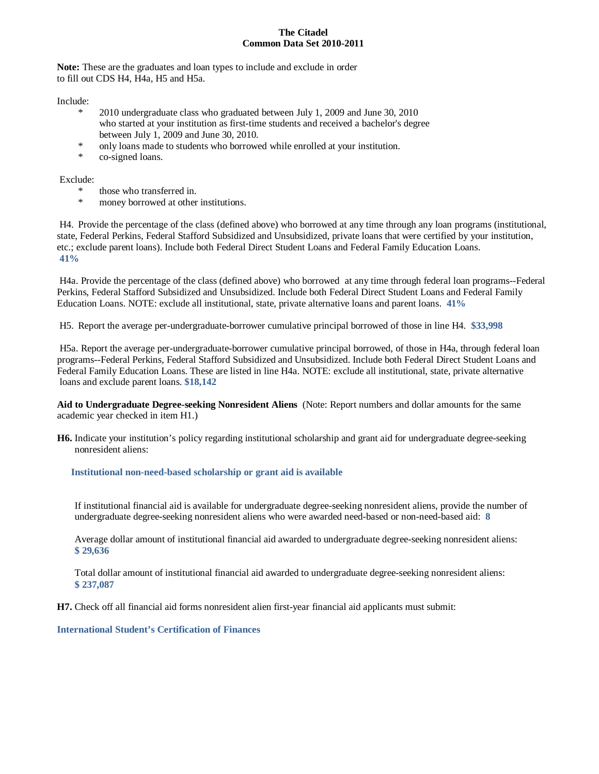**Note:** These are the graduates and loan types to include and exclude in order to fill out CDS H4, H4a, H5 and H5a.

Include:

- 2010 undergraduate class who graduated between July 1, 2009 and June 30, 2010 who started at your institution as first-time students and received a bachelor's degree between July 1, 2009 and June 30, 2010.
- \* only loans made to students who borrowed while enrolled at your institution.
- co-signed loans.

Exclude:

- those who transferred in.
- money borrowed at other institutions.

H4. Provide the percentage of the class (defined above) who borrowed at any time through any loan programs (institutional, state, Federal Perkins, Federal Stafford Subsidized and Unsubsidized, private loans that were certified by your institution, etc.; exclude parent loans). Include both Federal Direct Student Loans and Federal Family Education Loans. **41%**

H4a. Provide the percentage of the class (defined above) who borrowed at any time through federal loan programs--Federal Perkins, Federal Stafford Subsidized and Unsubsidized. Include both Federal Direct Student Loans and Federal Family Education Loans. NOTE: exclude all institutional, state, private alternative loans and parent loans. **41%**

H5. Report the average per-undergraduate-borrower cumulative principal borrowed of those in line H4. **\$33,998**

H5a. Report the average per-undergraduate-borrower cumulative principal borrowed, of those in H4a, through federal loan programs--Federal Perkins, Federal Stafford Subsidized and Unsubsidized. Include both Federal Direct Student Loans and Federal Family Education Loans. These are listed in line H4a. NOTE: exclude all institutional, state, private alternative loans and exclude parent loans. **\$18,142**

**Aid to Undergraduate Degree-seeking Nonresident Aliens** (Note: Report numbers and dollar amounts for the same academic year checked in item H1.)

**H6.** Indicate your institution's policy regarding institutional scholarship and grant aid for undergraduate degree-seeking nonresident aliens:

**Institutional non-need-based scholarship or grant aid is available**

If institutional financial aid is available for undergraduate degree-seeking nonresident aliens, provide the number of undergraduate degree-seeking nonresident aliens who were awarded need-based or non-need-based aid: **8**

Average dollar amount of institutional financial aid awarded to undergraduate degree-seeking nonresident aliens: **\$ 29,636**

Total dollar amount of institutional financial aid awarded to undergraduate degree-seeking nonresident aliens: **\$ 237,087**

**H7.** Check off all financial aid forms nonresident alien first-year financial aid applicants must submit:

**International Student's Certification of Finances**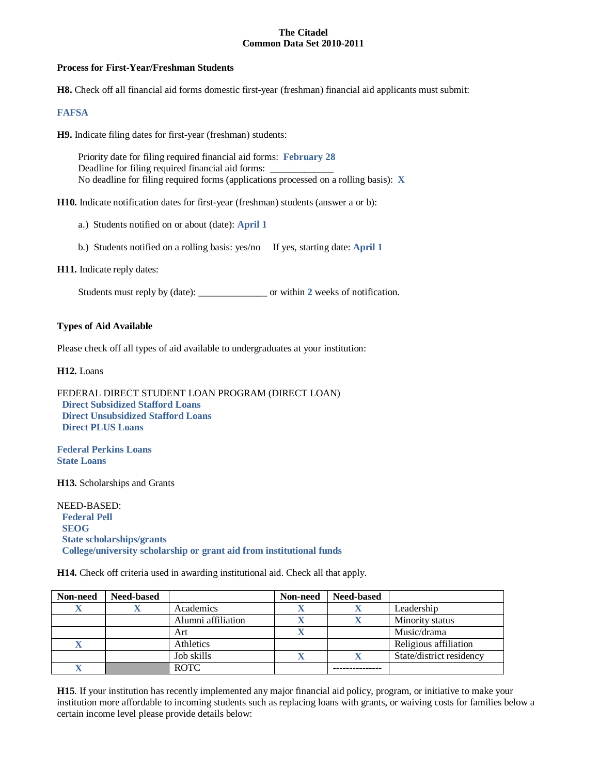### **Process for First-Year/Freshman Students**

**H8.** Check off all financial aid forms domestic first-year (freshman) financial aid applicants must submit:

### **FAFSA**

**H9.** Indicate filing dates for first-year (freshman) students:

Priority date for filing required financial aid forms: **February 28** Deadline for filing required financial aid forms: \_\_\_\_\_\_\_\_\_\_\_\_\_ No deadline for filing required forms (applications processed on a rolling basis): **X**

**H10.** Indicate notification dates for first-year (freshman) students (answer a or b):

- a.) Students notified on or about (date): **April 1**
- b.) Students notified on a rolling basis: yes/no If yes, starting date: **April 1**

**H11.** Indicate reply dates:

Students must reply by (date): \_\_\_\_\_\_\_\_\_\_\_\_\_\_ or within **2** weeks of notification.

### **Types of Aid Available**

Please check off all types of aid available to undergraduates at your institution:

**H12.** Loans

```
FEDERAL DIRECT STUDENT LOAN PROGRAM (DIRECT LOAN)
 Direct Subsidized Stafford Loans
 Direct Unsubsidized Stafford Loans
Direct PLUS Loans
```
**Federal Perkins Loans State Loans**

**H13.** Scholarships and Grants

NEED-BASED:  **Federal Pell SEOG State scholarships/grants College/university scholarship or grant aid from institutional funds**

**H14.** Check off criteria used in awarding institutional aid. Check all that apply.

| Non-need | <b>Need-based</b> |                    | Non-need | <b>Need-based</b> |                          |
|----------|-------------------|--------------------|----------|-------------------|--------------------------|
|          |                   | Academics          |          |                   | Leadership               |
|          |                   | Alumni affiliation |          |                   | Minority status          |
|          |                   | Art                |          |                   | Music/drama              |
|          |                   | Athletics          |          |                   | Religious affiliation    |
|          |                   | Job skills         |          |                   | State/district residency |
|          |                   | <b>ROTC</b>        |          |                   |                          |

**H15**. If your institution has recently implemented any major financial aid policy, program, or initiative to make your institution more affordable to incoming students such as replacing loans with grants, or waiving costs for families below a certain income level please provide details below: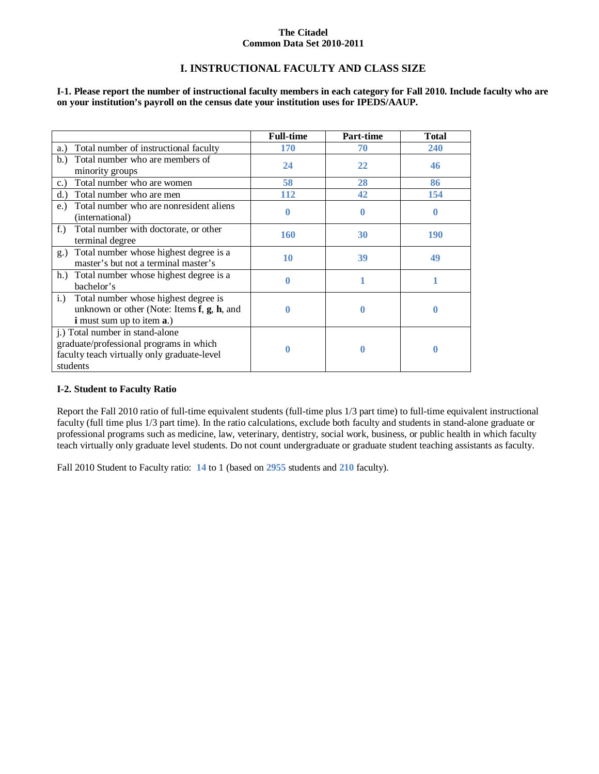# **I. INSTRUCTIONAL FACULTY AND CLASS SIZE**

**I-1. Please report the number of instructional faculty members in each category for Fall 2010. Include faculty who are on your institution's payroll on the census date your institution uses for IPEDS/AAUP.**

|                                                                                                                                         | <b>Full-time</b> | <b>Part-time</b> | <b>Total</b> |
|-----------------------------------------------------------------------------------------------------------------------------------------|------------------|------------------|--------------|
| Total number of instructional faculty<br>a.)                                                                                            | <b>170</b>       | 70               | 240          |
| Total number who are members of<br>b.<br>minority groups                                                                                | 24               | 22               | 46           |
| Total number who are women<br>c.                                                                                                        | 58               | 28               | 86           |
| Total number who are men<br>d.                                                                                                          | <b>112</b>       | 42               | 154          |
| Total number who are nonresident aliens<br>$e$ .<br>(international)                                                                     | 0                | $\bf{0}$         | $\bf{0}$     |
| Total number with doctorate, or other<br>$f_{\cdot}$ )<br>terminal degree                                                               | <b>160</b>       | 30               | 190          |
| Total number whose highest degree is a<br>$g_{\alpha}$<br>master's but not a terminal master's                                          | 10               | 39               | 49           |
| h.) Total number whose highest degree is a<br>bachelor's                                                                                | 0                |                  |              |
| Total number whose highest degree is<br>$i$ .<br>unknown or other (Note: Items f, g, h, and<br><b>i</b> must sum up to item <b>a</b> .) | 0                | $\bf{0}$         | 0            |
| j.) Total number in stand-alone<br>graduate/professional programs in which<br>faculty teach virtually only graduate-level<br>students   |                  | 0                | 0            |

### **I-2. Student to Faculty Ratio**

Report the Fall 2010 ratio of full-time equivalent students (full-time plus 1/3 part time) to full-time equivalent instructional faculty (full time plus 1/3 part time). In the ratio calculations, exclude both faculty and students in stand-alone graduate or professional programs such as medicine, law, veterinary, dentistry, social work, business, or public health in which faculty teach virtually only graduate level students. Do not count undergraduate or graduate student teaching assistants as faculty.

Fall 2010 Student to Faculty ratio: **14** to 1 (based on **2955** students and **210** faculty).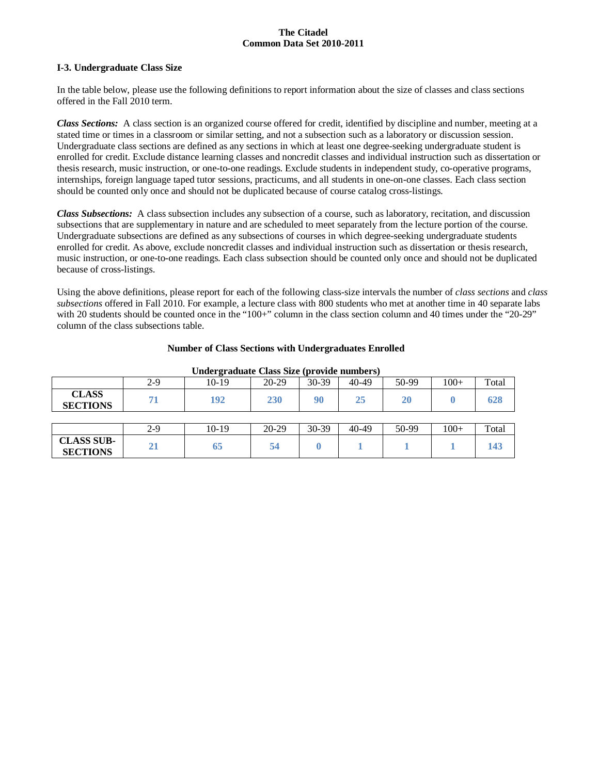### **I-3. Undergraduate Class Size**

In the table below, please use the following definitions to report information about the size of classes and class sections offered in the Fall 2010 term.

*Class Sections:* A class section is an organized course offered for credit, identified by discipline and number, meeting at a stated time or times in a classroom or similar setting, and not a subsection such as a laboratory or discussion session. Undergraduate class sections are defined as any sections in which at least one degree-seeking undergraduate student is enrolled for credit. Exclude distance learning classes and noncredit classes and individual instruction such as dissertation or thesis research, music instruction, or one-to-one readings. Exclude students in independent study, co-operative programs, internships, foreign language taped tutor sessions, practicums, and all students in one-on-one classes. Each class section should be counted only once and should not be duplicated because of course catalog cross-listings.

*Class Subsections:* A class subsection includes any subsection of a course, such as laboratory, recitation, and discussion subsections that are supplementary in nature and are scheduled to meet separately from the lecture portion of the course. Undergraduate subsections are defined as any subsections of courses in which degree-seeking undergraduate students enrolled for credit. As above, exclude noncredit classes and individual instruction such as dissertation or thesis research, music instruction, or one-to-one readings. Each class subsection should be counted only once and should not be duplicated because of cross-listings.

Using the above definitions, please report for each of the following class-size intervals the number of *class sections* and *class subsections* offered in Fall 2010. For example, a lecture class with 800 students who met at another time in 40 separate labs with 20 students should be counted once in the "100+" column in the class section column and 40 times under the "20-29" column of the class subsections table.

| Undergraduate Class Size (provide numbers) |       |         |           |         |           |       |        |       |
|--------------------------------------------|-------|---------|-----------|---------|-----------|-------|--------|-------|
|                                            | $2-9$ | 10-19   | $20-29$   | $30-39$ | 40-49     | 50-99 | $100+$ | Total |
| <b>CLASS</b><br><b>SECTIONS</b>            | 71    | 192     | 230       | 90      | 25        | 20    |        | 628   |
|                                            |       |         |           |         |           |       |        |       |
|                                            | $2-9$ | $10-19$ | $20 - 29$ | $30-39$ | $40 - 49$ | 50-99 | $100+$ | Total |
| <b>CLASS SUB-</b><br><b>SECTIONS</b>       | 21    | 65      | 54        | 0       |           |       |        | 143   |

### **Number of Class Sections with Undergraduates Enrolled**